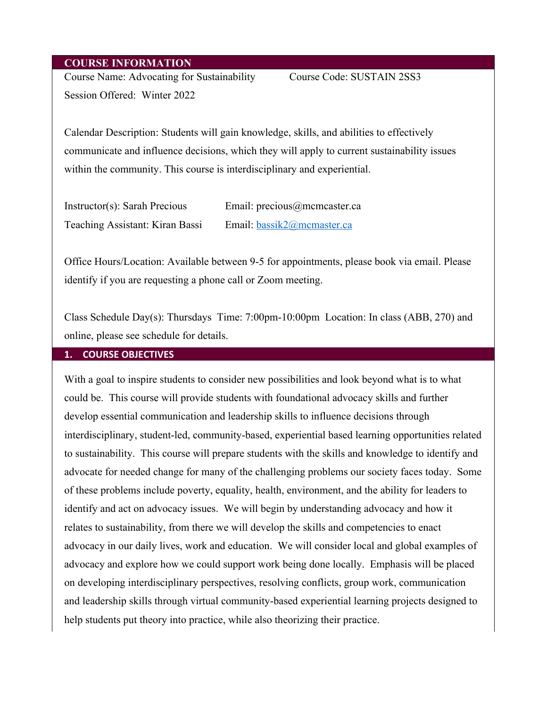#### **COURSE INFORMATION**

Course Name: Advocating for Sustainability Course Code: SUSTAIN 2SS3 Session Offered: Winter 2022

Calendar Description: Students will gain knowledge, skills, and abilities to effectively communicate and influence decisions, which they will apply to current sustainability issues within the community. This course is interdisciplinary and experiential.

| Instructor(s): Sarah Precious   | Email: precious@mcmcaster.ca |
|---------------------------------|------------------------------|
| Teaching Assistant: Kiran Bassi | Email: bassik2@mcmaster.ca   |

Office Hours/Location: Available between 9-5 for appointments, please book via email. Please identify if you are requesting a phone call or Zoom meeting.

Class Schedule Day(s): Thursdays Time: 7:00pm-10:00pm Location: In class (ABB, 270) and online, please see schedule for details.

#### **1. COURSE OBJECTIVES**

With a goal to inspire students to consider new possibilities and look beyond what is to what could be. This course will provide students with foundational advocacy skills and further develop essential communication and leadership skills to influence decisions through interdisciplinary, student-led, community-based, experiential based learning opportunities related to sustainability. This course will prepare students with the skills and knowledge to identify and advocate for needed change for many of the challenging problems our society faces today. Some of these problems include poverty, equality, health, environment, and the ability for leaders to identify and act on advocacy issues. We will begin by understanding advocacy and how it relates to sustainability, from there we will develop the skills and competencies to enact advocacy in our daily lives, work and education. We will consider local and global examples of advocacy and explore how we could support work being done locally. Emphasis will be placed on developing interdisciplinary perspectives, resolving conflicts, group work, communication and leadership skills through virtual community-based experiential learning projects designed to help students put theory into practice, while also theorizing their practice.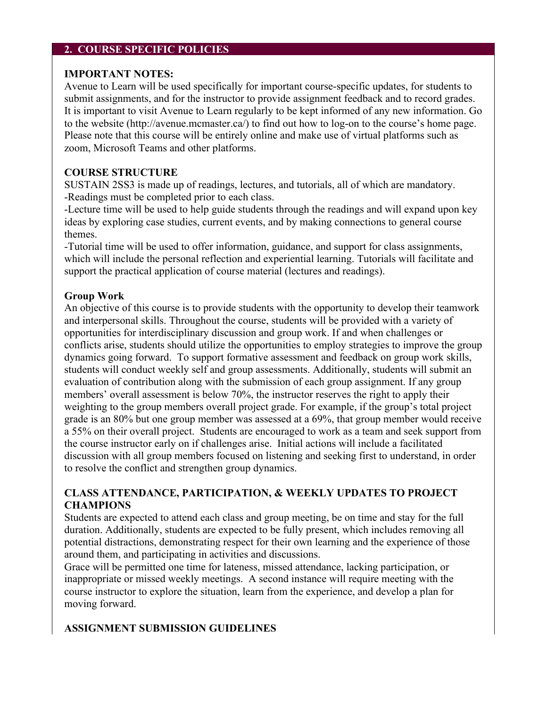#### **2. COURSE SPECIFIC POLICIES**

#### **IMPORTANT NOTES:**

Avenue to Learn will be used specifically for important course-specific updates, for students to submit assignments, and for the instructor to provide assignment feedback and to record grades. It is important to visit Avenue to Learn regularly to be kept informed of any new information. Go to the website (http://avenue.mcmaster.ca/) to find out how to log-on to the course's home page. Please note that this course will be entirely online and make use of virtual platforms such as zoom, Microsoft Teams and other platforms.

### **COURSE STRUCTURE**

SUSTAIN 2SS3 is made up of readings, lectures, and tutorials, all of which are mandatory. -Readings must be completed prior to each class.

-Lecture time will be used to help guide students through the readings and will expand upon key ideas by exploring case studies, current events, and by making connections to general course themes.

-Tutorial time will be used to offer information, guidance, and support for class assignments, which will include the personal reflection and experiential learning. Tutorials will facilitate and support the practical application of course material (lectures and readings).

#### **Group Work**

An objective of this course is to provide students with the opportunity to develop their teamwork and interpersonal skills. Throughout the course, students will be provided with a variety of opportunities for interdisciplinary discussion and group work. If and when challenges or conflicts arise, students should utilize the opportunities to employ strategies to improve the group dynamics going forward. To support formative assessment and feedback on group work skills, students will conduct weekly self and group assessments. Additionally, students will submit an evaluation of contribution along with the submission of each group assignment. If any group members' overall assessment is below 70%, the instructor reserves the right to apply their weighting to the group members overall project grade. For example, if the group's total project grade is an 80% but one group member was assessed at a 69%, that group member would receive a 55% on their overall project. Students are encouraged to work as a team and seek support from the course instructor early on if challenges arise. Initial actions will include a facilitated discussion with all group members focused on listening and seeking first to understand, in order to resolve the conflict and strengthen group dynamics.

### **CLASS ATTENDANCE, PARTICIPATION, & WEEKLY UPDATES TO PROJECT CHAMPIONS**

Students are expected to attend each class and group meeting, be on time and stay for the full duration. Additionally, students are expected to be fully present, which includes removing all potential distractions, demonstrating respect for their own learning and the experience of those around them, and participating in activities and discussions.

Grace will be permitted one time for lateness, missed attendance, lacking participation, or inappropriate or missed weekly meetings. A second instance will require meeting with the course instructor to explore the situation, learn from the experience, and develop a plan for moving forward.

### **ASSIGNMENT SUBMISSION GUIDELINES**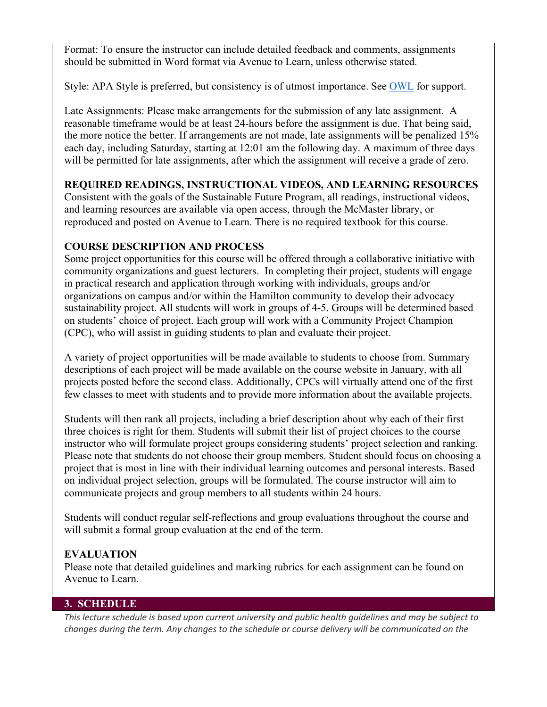Format: To ensure the instructor can include detailed feedback and comments, assignments should be submitted in Word format via Avenue to Learn, unless otherwise stated.

Style: APA Style is preferred, but consistency is of utmost importance. See **OWL** for support.

Late Assignments: Please make arrangements for the submission of any late assignment. A reasonable timeframe would be at least 24-hours before the assignment is due. That being said, the more notice the better. If arrangements are not made, late assignments will be penalized 15% each day, including Saturday, starting at 12:01 am the following day. A maximum of three days will be permitted for late assignments, after which the assignment will receive a grade of zero.

# **REQUIRED READINGS, INSTRUCTIONAL VIDEOS, AND LEARNING RESOURCES**

Consistent with the goals of the Sustainable Future Program, all readings, instructional videos, and learning resources are available via open access, through the McMaster library, or reproduced and posted on Avenue to Learn. There is no required textbook for this course.

# **COURSE DESCRIPTION AND PROCESS**

Some project opportunities for this course will be offered through a collaborative initiative with community organizations and guest lecturers. In completing their project, students will engage in practical research and application through working with individuals, groups and/or organizations on campus and/or within the Hamilton community to develop their advocacy sustainability project. All students will work in groups of 4-5. Groups will be determined based on students' choice of project. Each group will work with a Community Project Champion (CPC), who will assist in guiding students to plan and evaluate their project.

A variety of project opportunities will be made available to students to choose from. Summary descriptions of each project will be made available on the course website in January, with all projects posted before the second class. Additionally, CPCs will virtually attend one of the first few classes to meet with students and to provide more information about the available projects.

Students will then rank all projects, including a brief description about why each of their first three choices is right for them. Students will submit their list of project choices to the course instructor who will formulate project groups considering students' project selection and ranking. Please note that students do not choose their group members. Student should focus on choosing a project that is most in line with their individual learning outcomes and personal interests. Based on individual project selection, groups will be formulated. The course instructor will aim to communicate projects and group members to all students within 24 hours.

Students will conduct regular self-reflections and group evaluations throughout the course and will submit a formal group evaluation at the end of the term.

# **EVALUATION**

Please note that detailed guidelines and marking rubrics for each assignment can be found on Avenue to Learn.

### **3. SCHEDULE**

*This lecture schedule is based upon current university and public health guidelines and may be subject to changes during the term. Any changes to the schedule or course delivery will be communicated on the*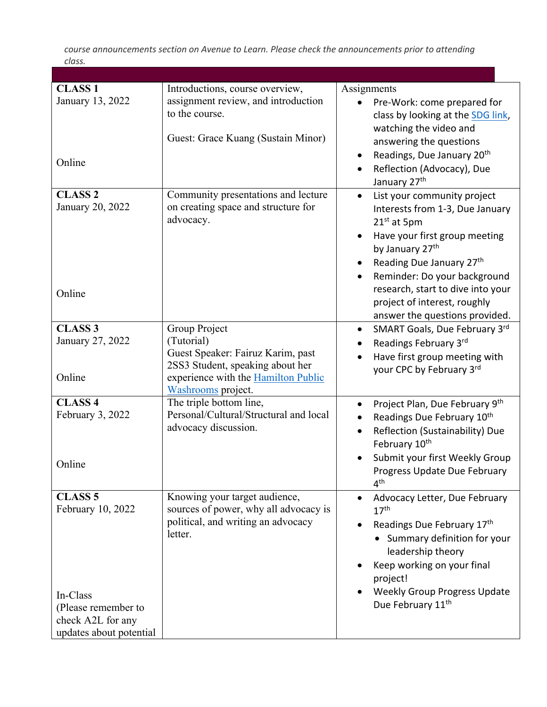*course announcements section on Avenue to Learn. Please check the announcements prior to attending class.*

| <b>CLASS 1</b><br>January 13, 2022<br>Online                                                                           | Introductions, course overview,<br>assignment review, and introduction<br>to the course.<br>Guest: Grace Kuang (Sustain Minor)                                    | Assignments<br>Pre-Work: come prepared for<br>class by looking at the SDG link,<br>watching the video and<br>answering the questions<br>Readings, Due January 20 <sup>th</sup><br>Reflection (Advocacy), Due<br>$\bullet$<br>January 27 <sup>th</sup>                                                                                                              |
|------------------------------------------------------------------------------------------------------------------------|-------------------------------------------------------------------------------------------------------------------------------------------------------------------|--------------------------------------------------------------------------------------------------------------------------------------------------------------------------------------------------------------------------------------------------------------------------------------------------------------------------------------------------------------------|
| <b>CLASS 2</b><br>January 20, 2022<br>Online                                                                           | Community presentations and lecture<br>on creating space and structure for<br>advocacy.                                                                           | List your community project<br>$\bullet$<br>Interests from 1-3, Due January<br>21 <sup>st</sup> at 5pm<br>Have your first group meeting<br>by January 27 <sup>th</sup><br>Reading Due January 27 <sup>th</sup><br>Reminder: Do your background<br>$\bullet$<br>research, start to dive into your<br>project of interest, roughly<br>answer the questions provided. |
| <b>CLASS 3</b><br>January 27, 2022<br>Online                                                                           | Group Project<br>(Tutorial)<br>Guest Speaker: Fairuz Karim, past<br>2SS3 Student, speaking about her<br>experience with the Hamilton Public<br>Washrooms project. | SMART Goals, Due February 3rd<br>$\bullet$<br>Readings February 3rd<br>Have first group meeting with<br>your CPC by February 3rd                                                                                                                                                                                                                                   |
| <b>CLASS 4</b><br>February 3, 2022<br>Online                                                                           | The triple bottom line,<br>Personal/Cultural/Structural and local<br>advocacy discussion.                                                                         | Project Plan, Due February 9th<br>$\bullet$<br>Readings Due February 10th<br>Reflection (Sustainability) Due<br>$\bullet$<br>February 10 <sup>th</sup><br>Submit your first Weekly Group<br>Progress Update Due February<br>4 <sup>th</sup>                                                                                                                        |
| <b>CLASS 5</b><br>February 10, 2022<br>In-Class<br>(Please remember to<br>check A2L for any<br>updates about potential | Knowing your target audience,<br>sources of power, why all advocacy is<br>political, and writing an advocacy<br>letter.                                           | Advocacy Letter, Due February<br>17 <sup>th</sup><br>Readings Due February 17th<br>Summary definition for your<br>leadership theory<br>Keep working on your final<br>project!<br>Weekly Group Progress Update<br>Due February 11th                                                                                                                                 |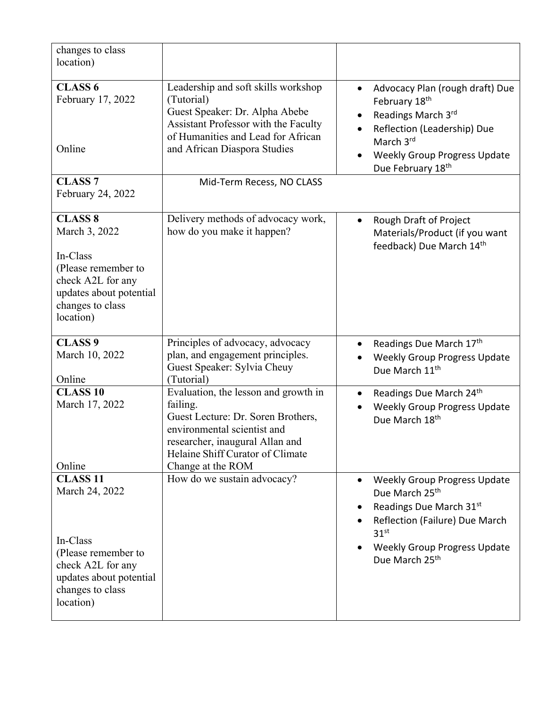| changes to class<br>location)                                                                                                                         |                                                                                                                                                                                                                   |                                                                                                                                                                                                                         |
|-------------------------------------------------------------------------------------------------------------------------------------------------------|-------------------------------------------------------------------------------------------------------------------------------------------------------------------------------------------------------------------|-------------------------------------------------------------------------------------------------------------------------------------------------------------------------------------------------------------------------|
|                                                                                                                                                       |                                                                                                                                                                                                                   |                                                                                                                                                                                                                         |
| <b>CLASS 6</b><br>February 17, 2022<br>Online                                                                                                         | Leadership and soft skills workshop<br>(Tutorial)<br>Guest Speaker: Dr. Alpha Abebe<br>Assistant Professor with the Faculty<br>of Humanities and Lead for African<br>and African Diaspora Studies                 | Advocacy Plan (rough draft) Due<br>$\bullet$<br>February 18th<br>Readings March 3rd<br>Reflection (Leadership) Due<br>$\bullet$<br>March 3rd<br><b>Weekly Group Progress Update</b><br>Due February 18th                |
| <b>CLASS 7</b><br>February 24, 2022                                                                                                                   | Mid-Term Recess, NO CLASS                                                                                                                                                                                         |                                                                                                                                                                                                                         |
| <b>CLASS 8</b><br>March 3, 2022<br>In-Class<br>(Please remember to<br>check A2L for any<br>updates about potential<br>changes to class<br>location)   | Delivery methods of advocacy work,<br>how do you make it happen?                                                                                                                                                  | Rough Draft of Project<br>$\bullet$<br>Materials/Product (if you want<br>feedback) Due March 14th                                                                                                                       |
| <b>CLASS 9</b><br>March 10, 2022<br>Online                                                                                                            | Principles of advocacy, advocacy<br>plan, and engagement principles.<br>Guest Speaker: Sylvia Cheuy<br>(Tutorial)                                                                                                 | Readings Due March 17th<br>$\bullet$<br><b>Weekly Group Progress Update</b><br>Due March 11 <sup>th</sup>                                                                                                               |
| <b>CLASS 10</b><br>March 17, 2022<br>Online                                                                                                           | Evaluation, the lesson and growth in<br>failing.<br>Guest Lecture: Dr. Soren Brothers,<br>environmental scientist and<br>researcher, inaugural Allan and<br>Helaine Shiff Curator of Climate<br>Change at the ROM | Readings Due March 24th<br>$\bullet$<br><b>Weekly Group Progress Update</b><br>Due March 18th                                                                                                                           |
| <b>CLASS 11</b><br>March 24, 2022<br>In-Class<br>(Please remember to<br>check A2L for any<br>updates about potential<br>changes to class<br>location) | How do we sustain advocacy?                                                                                                                                                                                       | <b>Weekly Group Progress Update</b><br>Due March 25 <sup>th</sup><br>Readings Due March 31st<br>Reflection (Failure) Due March<br>31 <sup>st</sup><br><b>Weekly Group Progress Update</b><br>Due March 25 <sup>th</sup> |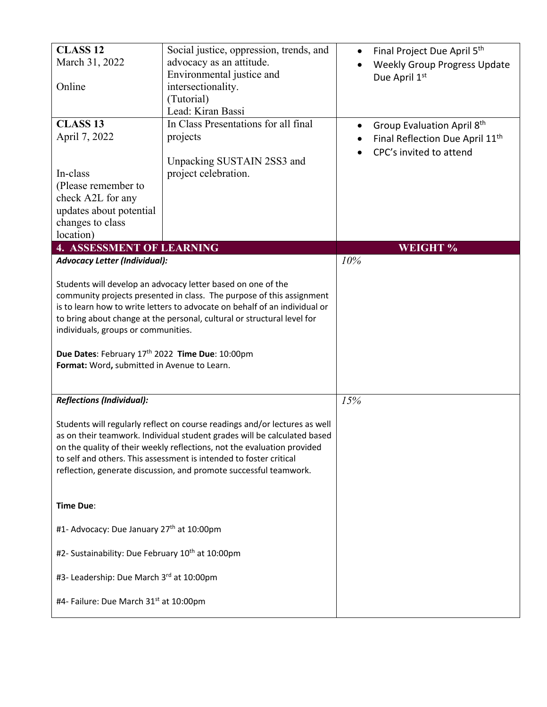| <b>CLASS 12</b><br>March 31, 2022<br>Online<br><b>CLASS 13</b><br>April 7, 2022<br>In-class<br>(Please remember to<br>check A2L for any<br>updates about potential<br>changes to class<br>location)                                                                                                                                                                                                                                     | Social justice, oppression, trends, and<br>advocacy as an attitude.<br>Environmental justice and<br>intersectionality.<br>(Tutorial)<br>Lead: Kiran Bassi<br>In Class Presentations for all final<br>projects<br>Unpacking SUSTAIN 2SS3 and<br>project celebration. |     | Final Project Due April 5th<br><b>Weekly Group Progress Update</b><br>Due April 1st<br>Group Evaluation April 8th<br>Final Reflection Due April 11 <sup>th</sup><br>CPC's invited to attend |
|-----------------------------------------------------------------------------------------------------------------------------------------------------------------------------------------------------------------------------------------------------------------------------------------------------------------------------------------------------------------------------------------------------------------------------------------|---------------------------------------------------------------------------------------------------------------------------------------------------------------------------------------------------------------------------------------------------------------------|-----|---------------------------------------------------------------------------------------------------------------------------------------------------------------------------------------------|
| <b>4. ASSESSMENT OF LEARNING</b>                                                                                                                                                                                                                                                                                                                                                                                                        |                                                                                                                                                                                                                                                                     |     | <b>WEIGHT %</b>                                                                                                                                                                             |
| <b>Advocacy Letter (Individual):</b>                                                                                                                                                                                                                                                                                                                                                                                                    |                                                                                                                                                                                                                                                                     | 10% |                                                                                                                                                                                             |
| Students will develop an advocacy letter based on one of the<br>community projects presented in class. The purpose of this assignment<br>is to learn how to write letters to advocate on behalf of an individual or<br>to bring about change at the personal, cultural or structural level for<br>individuals, groups or communities.<br>Due Dates: February 17th 2022 Time Due: 10:00pm<br>Format: Word, submitted in Avenue to Learn. |                                                                                                                                                                                                                                                                     |     |                                                                                                                                                                                             |
| <b>Reflections (Individual):</b>                                                                                                                                                                                                                                                                                                                                                                                                        |                                                                                                                                                                                                                                                                     | 15% |                                                                                                                                                                                             |
| Students will regularly reflect on course readings and/or lectures as well<br>as on their teamwork. Individual student grades will be calculated based<br>on the quality of their weekly reflections, not the evaluation provided<br>to self and others. This assessment is intended to foster critical<br>reflection, generate discussion, and promote successful teamwork.                                                            |                                                                                                                                                                                                                                                                     |     |                                                                                                                                                                                             |
| Time Due:                                                                                                                                                                                                                                                                                                                                                                                                                               |                                                                                                                                                                                                                                                                     |     |                                                                                                                                                                                             |
| #1- Advocacy: Due January 27th at 10:00pm                                                                                                                                                                                                                                                                                                                                                                                               |                                                                                                                                                                                                                                                                     |     |                                                                                                                                                                                             |
| #2- Sustainability: Due February 10 <sup>th</sup> at 10:00pm                                                                                                                                                                                                                                                                                                                                                                            |                                                                                                                                                                                                                                                                     |     |                                                                                                                                                                                             |
| #3- Leadership: Due March 3rd at 10:00pm                                                                                                                                                                                                                                                                                                                                                                                                |                                                                                                                                                                                                                                                                     |     |                                                                                                                                                                                             |
| #4- Failure: Due March 31 <sup>st</sup> at 10:00pm                                                                                                                                                                                                                                                                                                                                                                                      |                                                                                                                                                                                                                                                                     |     |                                                                                                                                                                                             |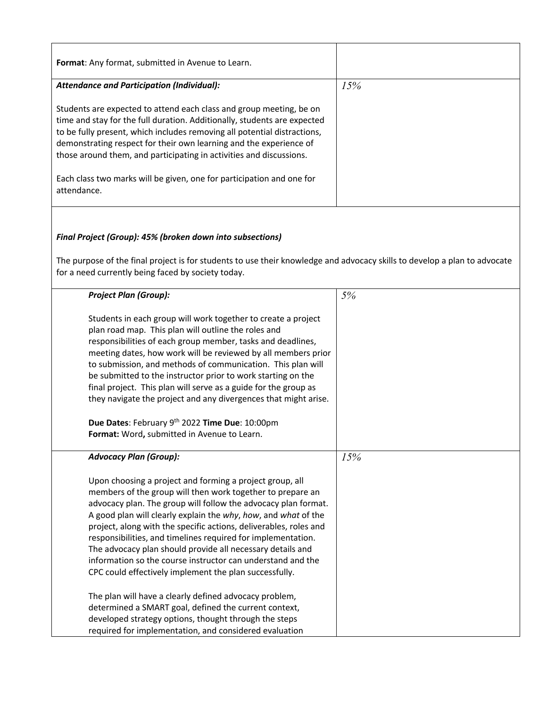| Format: Any format, submitted in Avenue to Learn.                                                                         |     |
|---------------------------------------------------------------------------------------------------------------------------|-----|
| <b>Attendance and Participation (Individual):</b>                                                                         | 15% |
|                                                                                                                           |     |
| Students are expected to attend each class and group meeting, be on                                                       |     |
| time and stay for the full duration. Additionally, students are expected                                                  |     |
| to be fully present, which includes removing all potential distractions,                                                  |     |
| demonstrating respect for their own learning and the experience of                                                        |     |
| those around them, and participating in activities and discussions.                                                       |     |
| Each class two marks will be given, one for participation and one for                                                     |     |
| attendance.                                                                                                               |     |
|                                                                                                                           |     |
|                                                                                                                           |     |
|                                                                                                                           |     |
| Final Project (Group): 45% (broken down into subsections)                                                                 |     |
|                                                                                                                           |     |
| The purpose of the final project is for students to use their knowledge and advocacy skills to develop a plan to advocate |     |
| for a need currently being faced by society today.                                                                        |     |
|                                                                                                                           |     |
| <b>Project Plan (Group):</b>                                                                                              | 5%  |
|                                                                                                                           |     |
| Students in each group will work together to create a project                                                             |     |
| plan road map. This plan will outline the roles and<br>responsibilities of each group member, tasks and deadlines,        |     |
| meeting dates, how work will be reviewed by all members prior                                                             |     |
| to submission, and methods of communication. This plan will                                                               |     |
| be submitted to the instructor prior to work starting on the                                                              |     |
| final project. This plan will serve as a guide for the group as                                                           |     |
| they navigate the project and any divergences that might arise.                                                           |     |
|                                                                                                                           |     |
| Due Dates: February 9th 2022 Time Due: 10:00pm                                                                            |     |
| Format: Word, submitted in Avenue to Learn.                                                                               |     |
|                                                                                                                           |     |
| <b>Advocacy Plan (Group):</b>                                                                                             | 15% |
|                                                                                                                           |     |
| Upon choosing a project and forming a project group, all                                                                  |     |
| members of the group will then work together to prepare an                                                                |     |
| advocacy plan. The group will follow the advocacy plan format.                                                            |     |
| A good plan will clearly explain the why, how, and what of the                                                            |     |
| project, along with the specific actions, deliverables, roles and                                                         |     |
| responsibilities, and timelines required for implementation.                                                              |     |
| The advocacy plan should provide all necessary details and                                                                |     |
| information so the course instructor can understand and the                                                               |     |
| CPC could effectively implement the plan successfully.                                                                    |     |
|                                                                                                                           |     |
| The plan will have a clearly defined advocacy problem,                                                                    |     |
| determined a SMART goal, defined the current context,                                                                     |     |
| developed strategy options, thought through the steps                                                                     |     |
| required for implementation, and considered evaluation                                                                    |     |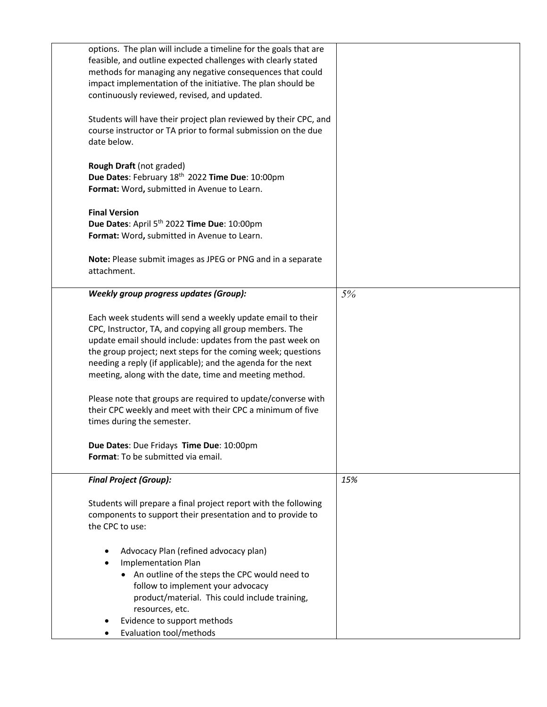| options. The plan will include a timeline for the goals that are<br>feasible, and outline expected challenges with clearly stated<br>methods for managing any negative consequences that could<br>impact implementation of the initiative. The plan should be                                                                                                                  |     |
|--------------------------------------------------------------------------------------------------------------------------------------------------------------------------------------------------------------------------------------------------------------------------------------------------------------------------------------------------------------------------------|-----|
| continuously reviewed, revised, and updated.<br>Students will have their project plan reviewed by their CPC, and<br>course instructor or TA prior to formal submission on the due<br>date below.                                                                                                                                                                               |     |
| Rough Draft (not graded)<br>Due Dates: February 18th 2022 Time Due: 10:00pm<br>Format: Word, submitted in Avenue to Learn.                                                                                                                                                                                                                                                     |     |
| <b>Final Version</b><br>Due Dates: April 5 <sup>th</sup> 2022 Time Due: 10:00pm<br>Format: Word, submitted in Avenue to Learn.                                                                                                                                                                                                                                                 |     |
| Note: Please submit images as JPEG or PNG and in a separate<br>attachment.                                                                                                                                                                                                                                                                                                     |     |
| <b>Weekly group progress updates (Group):</b>                                                                                                                                                                                                                                                                                                                                  | 5%  |
| Each week students will send a weekly update email to their<br>CPC, Instructor, TA, and copying all group members. The<br>update email should include: updates from the past week on<br>the group project; next steps for the coming week; questions<br>needing a reply (if applicable); and the agenda for the next<br>meeting, along with the date, time and meeting method. |     |
| Please note that groups are required to update/converse with<br>their CPC weekly and meet with their CPC a minimum of five<br>times during the semester.                                                                                                                                                                                                                       |     |
| Due Dates: Due Fridays Time Due: 10:00pm<br>Format: To be submitted via email.                                                                                                                                                                                                                                                                                                 |     |
| <b>Final Project (Group):</b>                                                                                                                                                                                                                                                                                                                                                  | 15% |
| Students will prepare a final project report with the following<br>components to support their presentation and to provide to<br>the CPC to use:                                                                                                                                                                                                                               |     |
| Advocacy Plan (refined advocacy plan)<br>٠<br><b>Implementation Plan</b><br>$\bullet$<br>• An outline of the steps the CPC would need to<br>follow to implement your advocacy<br>product/material. This could include training,<br>resources, etc.<br>Evidence to support methods<br>Evaluation tool/methods<br>٠                                                              |     |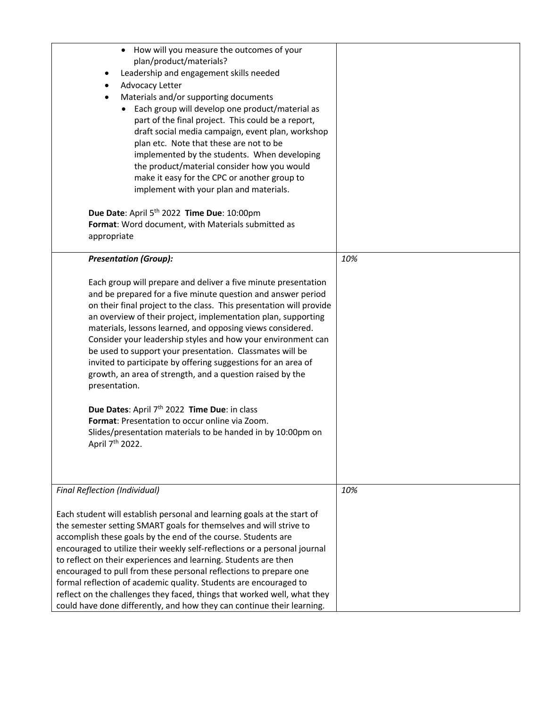| How will you measure the outcomes of your<br>$\bullet$<br>plan/product/materials?<br>Leadership and engagement skills needed<br>٠<br>Advocacy Letter<br>Materials and/or supporting documents<br>Each group will develop one product/material as<br>part of the final project. This could be a report,<br>draft social media campaign, event plan, workshop<br>plan etc. Note that these are not to be<br>implemented by the students. When developing<br>the product/material consider how you would<br>make it easy for the CPC or another group to<br>implement with your plan and materials.                                                                                                                                                                                                                            |     |
|-----------------------------------------------------------------------------------------------------------------------------------------------------------------------------------------------------------------------------------------------------------------------------------------------------------------------------------------------------------------------------------------------------------------------------------------------------------------------------------------------------------------------------------------------------------------------------------------------------------------------------------------------------------------------------------------------------------------------------------------------------------------------------------------------------------------------------|-----|
| Due Date: April 5 <sup>th</sup> 2022 Time Due: 10:00pm<br>Format: Word document, with Materials submitted as<br>appropriate                                                                                                                                                                                                                                                                                                                                                                                                                                                                                                                                                                                                                                                                                                 |     |
| <b>Presentation (Group):</b>                                                                                                                                                                                                                                                                                                                                                                                                                                                                                                                                                                                                                                                                                                                                                                                                | 10% |
| Each group will prepare and deliver a five minute presentation<br>and be prepared for a five minute question and answer period<br>on their final project to the class. This presentation will provide<br>an overview of their project, implementation plan, supporting<br>materials, lessons learned, and opposing views considered.<br>Consider your leadership styles and how your environment can<br>be used to support your presentation. Classmates will be<br>invited to participate by offering suggestions for an area of<br>growth, an area of strength, and a question raised by the<br>presentation.<br>Due Dates: April 7 <sup>th</sup> 2022 Time Due: in class<br>Format: Presentation to occur online via Zoom.<br>Slides/presentation materials to be handed in by 10:00pm on<br>April 7 <sup>th</sup> 2022. |     |
| <b>Final Reflection (Individual)</b>                                                                                                                                                                                                                                                                                                                                                                                                                                                                                                                                                                                                                                                                                                                                                                                        | 10% |
| Each student will establish personal and learning goals at the start of<br>the semester setting SMART goals for themselves and will strive to<br>accomplish these goals by the end of the course. Students are<br>encouraged to utilize their weekly self-reflections or a personal journal<br>to reflect on their experiences and learning. Students are then<br>encouraged to pull from these personal reflections to prepare one<br>formal reflection of academic quality. Students are encouraged to<br>reflect on the challenges they faced, things that worked well, what they<br>could have done differently, and how they can continue their learning.                                                                                                                                                              |     |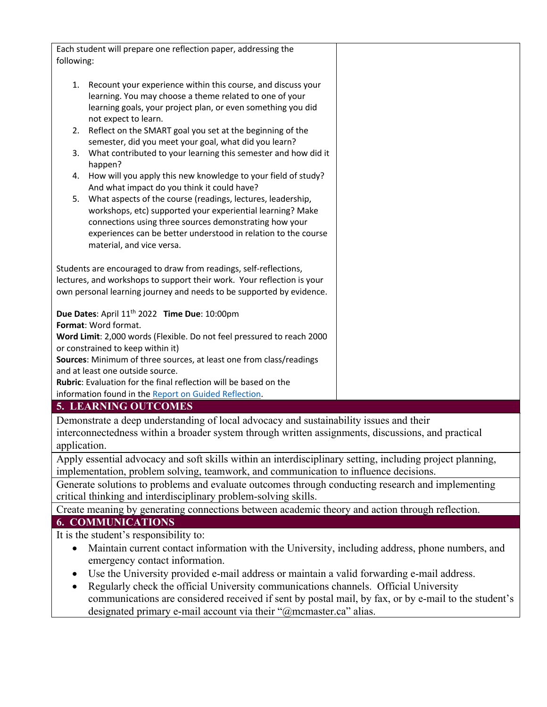| Each student will prepare one reflection paper, addressing the                                                                                                                                                                                                                                                                                                                                                                                                                                                                                                                                                                                                                                                                                                                                                                                   |  |  |
|--------------------------------------------------------------------------------------------------------------------------------------------------------------------------------------------------------------------------------------------------------------------------------------------------------------------------------------------------------------------------------------------------------------------------------------------------------------------------------------------------------------------------------------------------------------------------------------------------------------------------------------------------------------------------------------------------------------------------------------------------------------------------------------------------------------------------------------------------|--|--|
| following:                                                                                                                                                                                                                                                                                                                                                                                                                                                                                                                                                                                                                                                                                                                                                                                                                                       |  |  |
|                                                                                                                                                                                                                                                                                                                                                                                                                                                                                                                                                                                                                                                                                                                                                                                                                                                  |  |  |
| 1. Recount your experience within this course, and discuss your<br>learning. You may choose a theme related to one of your<br>learning goals, your project plan, or even something you did<br>not expect to learn.<br>2. Reflect on the SMART goal you set at the beginning of the<br>semester, did you meet your goal, what did you learn?<br>What contributed to your learning this semester and how did it<br>3.<br>happen?<br>How will you apply this new knowledge to your field of study?<br>4.<br>And what impact do you think it could have?<br>What aspects of the course (readings, lectures, leadership,<br>5.<br>workshops, etc) supported your experiential learning? Make<br>connections using three sources demonstrating how your<br>experiences can be better understood in relation to the course<br>material, and vice versa. |  |  |
|                                                                                                                                                                                                                                                                                                                                                                                                                                                                                                                                                                                                                                                                                                                                                                                                                                                  |  |  |
| Students are encouraged to draw from readings, self-reflections,<br>lectures, and workshops to support their work. Your reflection is your                                                                                                                                                                                                                                                                                                                                                                                                                                                                                                                                                                                                                                                                                                       |  |  |
| own personal learning journey and needs to be supported by evidence.                                                                                                                                                                                                                                                                                                                                                                                                                                                                                                                                                                                                                                                                                                                                                                             |  |  |
|                                                                                                                                                                                                                                                                                                                                                                                                                                                                                                                                                                                                                                                                                                                                                                                                                                                  |  |  |
| Due Dates: April 11 <sup>th</sup> 2022 Time Due: 10:00pm                                                                                                                                                                                                                                                                                                                                                                                                                                                                                                                                                                                                                                                                                                                                                                                         |  |  |
| Format: Word format.                                                                                                                                                                                                                                                                                                                                                                                                                                                                                                                                                                                                                                                                                                                                                                                                                             |  |  |
| Word Limit: 2,000 words (Flexible. Do not feel pressured to reach 2000                                                                                                                                                                                                                                                                                                                                                                                                                                                                                                                                                                                                                                                                                                                                                                           |  |  |
| or constrained to keep within it)                                                                                                                                                                                                                                                                                                                                                                                                                                                                                                                                                                                                                                                                                                                                                                                                                |  |  |
| Sources: Minimum of three sources, at least one from class/readings<br>and at least one outside source.                                                                                                                                                                                                                                                                                                                                                                                                                                                                                                                                                                                                                                                                                                                                          |  |  |
| Rubric: Evaluation for the final reflection will be based on the                                                                                                                                                                                                                                                                                                                                                                                                                                                                                                                                                                                                                                                                                                                                                                                 |  |  |
| information found in the Report on Guided Reflection.                                                                                                                                                                                                                                                                                                                                                                                                                                                                                                                                                                                                                                                                                                                                                                                            |  |  |
| <b>5. LEARNING OUTCOMES</b>                                                                                                                                                                                                                                                                                                                                                                                                                                                                                                                                                                                                                                                                                                                                                                                                                      |  |  |
| Demonstrate a deep understanding of local advocacy and sustainability issues and their                                                                                                                                                                                                                                                                                                                                                                                                                                                                                                                                                                                                                                                                                                                                                           |  |  |
| interconnectedness within a broader system through written assignments, discussions, and practical                                                                                                                                                                                                                                                                                                                                                                                                                                                                                                                                                                                                                                                                                                                                               |  |  |
| application.                                                                                                                                                                                                                                                                                                                                                                                                                                                                                                                                                                                                                                                                                                                                                                                                                                     |  |  |
| Apply essential advocacy and soft skills within an interdisciplinary setting, including project planning,                                                                                                                                                                                                                                                                                                                                                                                                                                                                                                                                                                                                                                                                                                                                        |  |  |
| implementation, problem solving, teamwork, and communication to influence decisions.                                                                                                                                                                                                                                                                                                                                                                                                                                                                                                                                                                                                                                                                                                                                                             |  |  |
| Generate solutions to problems and evaluate outcomes through conducting research and implementing                                                                                                                                                                                                                                                                                                                                                                                                                                                                                                                                                                                                                                                                                                                                                |  |  |
| critical thinking and interdisciplinary problem-solving skills.                                                                                                                                                                                                                                                                                                                                                                                                                                                                                                                                                                                                                                                                                                                                                                                  |  |  |
| Create meaning by generating connections between academic theory and action through reflection.                                                                                                                                                                                                                                                                                                                                                                                                                                                                                                                                                                                                                                                                                                                                                  |  |  |
| <b>6. COMMUNICATIONS</b>                                                                                                                                                                                                                                                                                                                                                                                                                                                                                                                                                                                                                                                                                                                                                                                                                         |  |  |
| It is the student's responsibility to:                                                                                                                                                                                                                                                                                                                                                                                                                                                                                                                                                                                                                                                                                                                                                                                                           |  |  |
| Maintain current contact information with the University, including address, phone numbers, and<br>$\bullet$                                                                                                                                                                                                                                                                                                                                                                                                                                                                                                                                                                                                                                                                                                                                     |  |  |
| emergency contact information.                                                                                                                                                                                                                                                                                                                                                                                                                                                                                                                                                                                                                                                                                                                                                                                                                   |  |  |
| Use the University provided e-mail address or maintain a valid forwarding e-mail address.<br>$\bullet$                                                                                                                                                                                                                                                                                                                                                                                                                                                                                                                                                                                                                                                                                                                                           |  |  |

• Regularly check the official University communications channels. Official University communications are considered received if sent by postal mail, by fax, or by e-mail to the student's designated primary e-mail account via their "@mcmaster.ca" alias.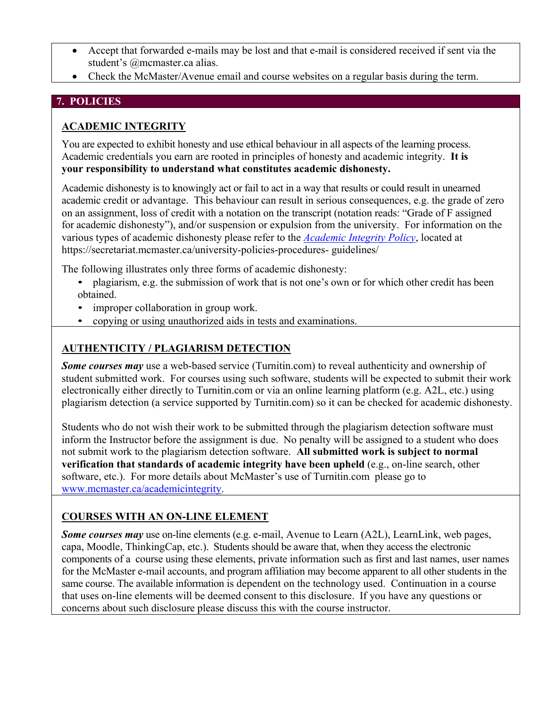- Accept that forwarded e-mails may be lost and that e-mail is considered received if sent via the student's @mcmaster.ca alias.
- Check the McMaster/Avenue email and course websites on a regular basis during the term.

### **7. POLICIES**

# **ACADEMIC INTEGRITY**

You are expected to exhibit honesty and use ethical behaviour in all aspects of the learning process. Academic credentials you earn are rooted in principles of honesty and academic integrity. **It is your responsibility to understand what constitutes academic dishonesty.**

Academic dishonesty is to knowingly act or fail to act in a way that results or could result in unearned academic credit or advantage. This behaviour can result in serious consequences, e.g. the grade of zero on an assignment, loss of credit with a notation on the transcript (notation reads: "Grade of F assigned for academic dishonesty"), and/or suspension or expulsion from the university. For information on the various types of academic dishonesty please refer to the *Academic Integrity Policy*, located at https://secretariat.mcmaster.ca/university-policies-procedures- guidelines/

The following illustrates only three forms of academic dishonesty:

- plagiarism, e.g. the submission of work that is not one's own or for which other credit has been obtained.
- improper collaboration in group work.
- copying or using unauthorized aids in tests and examinations.

## **AUTHENTICITY / PLAGIARISM DETECTION**

*Some courses may* use a web-based service (Turnitin.com) to reveal authenticity and ownership of student submitted work. For courses using such software, students will be expected to submit their work electronically either directly to Turnitin.com or via an online learning platform (e.g. A2L, etc.) using plagiarism detection (a service supported by Turnitin.com) so it can be checked for academic dishonesty.

Students who do not wish their work to be submitted through the plagiarism detection software must inform the Instructor before the assignment is due. No penalty will be assigned to a student who does not submit work to the plagiarism detection software. **All submitted work is subject to normal verification that standards of academic integrity have been upheld** (e.g., on-line search, other software, etc.). For more details about McMaster's use of Turnitin.com please go to www.mcmaster.ca/academicintegrity.

# **COURSES WITH AN ON-LINE ELEMENT**

*Some courses may* use on-line elements (e.g. e-mail, Avenue to Learn (A2L), LearnLink, web pages, capa, Moodle, ThinkingCap, etc.). Students should be aware that, when they access the electronic components of a course using these elements, private information such as first and last names, user names for the McMaster e-mail accounts, and program affiliation may become apparent to all other students in the same course. The available information is dependent on the technology used. Continuation in a course that uses on-line elements will be deemed consent to this disclosure. If you have any questions or concerns about such disclosure please discuss this with the course instructor.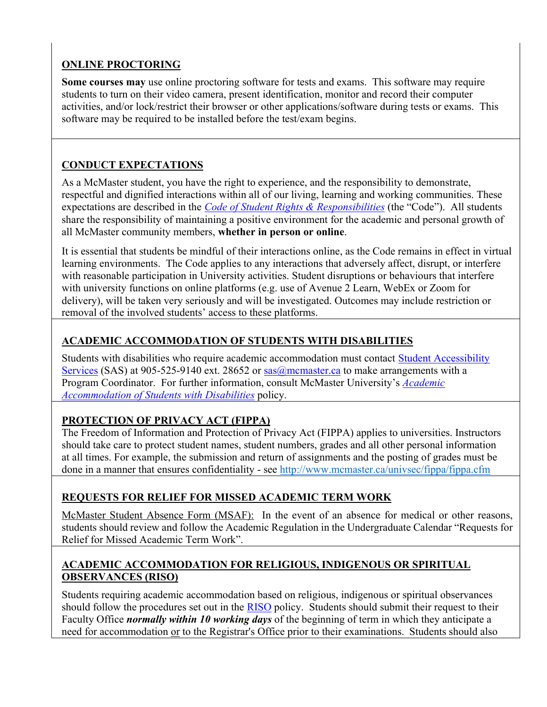# **ONLINE PROCTORING**

**Some courses may** use online proctoring software for tests and exams. This software may require students to turn on their video camera, present identification, monitor and record their computer activities, and/or lock/restrict their browser or other applications/software during tests or exams. This software may be required to be installed before the test/exam begins.

# **CONDUCT EXPECTATIONS**

As a McMaster student, you have the right to experience, and the responsibility to demonstrate, respectful and dignified interactions within all of our living, learning and working communities. These expectations are described in the *Code of Student Rights & Responsibilities* (the "Code"). All students share the responsibility of maintaining a positive environment for the academic and personal growth of all McMaster community members, **whether in person or online**.

It is essential that students be mindful of their interactions online, as the Code remains in effect in virtual learning environments. The Code applies to any interactions that adversely affect, disrupt, or interfere with reasonable participation in University activities. Student disruptions or behaviours that interfere with university functions on online platforms (e.g. use of Avenue 2 Learn, WebEx or Zoom for delivery), will be taken very seriously and will be investigated. Outcomes may include restriction or removal of the involved students' access to these platforms.

# **ACADEMIC ACCOMMODATION OF STUDENTS WITH DISABILITIES**

Students with disabilities who require academic accommodation must contact Student Accessibility Services (SAS) at 905-525-9140 ext. 28652 or sas@mcmaster.ca to make arrangements with a Program Coordinator. For further information, consult McMaster University's *Academic Accommodation of Students with Disabilities* policy.

# **PROTECTION OF PRIVACY ACT (FIPPA)**

 The Freedom of Information and Protection of Privacy Act (FIPPA) applies to universities. Instructors should take care to protect student names, student numbers, grades and all other personal information at all times. For example, the submission and return of assignments and the posting of grades must be done in a manner that ensures confidentiality - see http://www.mcmaster.ca/univsec/fippa/fippa.cfm

# **REQUESTS FOR RELIEF FOR MISSED ACADEMIC TERM WORK**

McMaster Student Absence Form (MSAF): In the event of an absence for medical or other reasons, students should review and follow the Academic Regulation in the Undergraduate Calendar "Requests for Relief for Missed Academic Term Work".

### **ACADEMIC ACCOMMODATION FOR RELIGIOUS, INDIGENOUS OR SPIRITUAL OBSERVANCES (RISO)**

Students requiring academic accommodation based on religious, indigenous or spiritual observances should follow the procedures set out in the RISO policy. Students should submit their request to their Faculty Office *normally within 10 working days* of the beginning of term in which they anticipate a need for accommodation or to the Registrar's Office prior to their examinations. Students should also